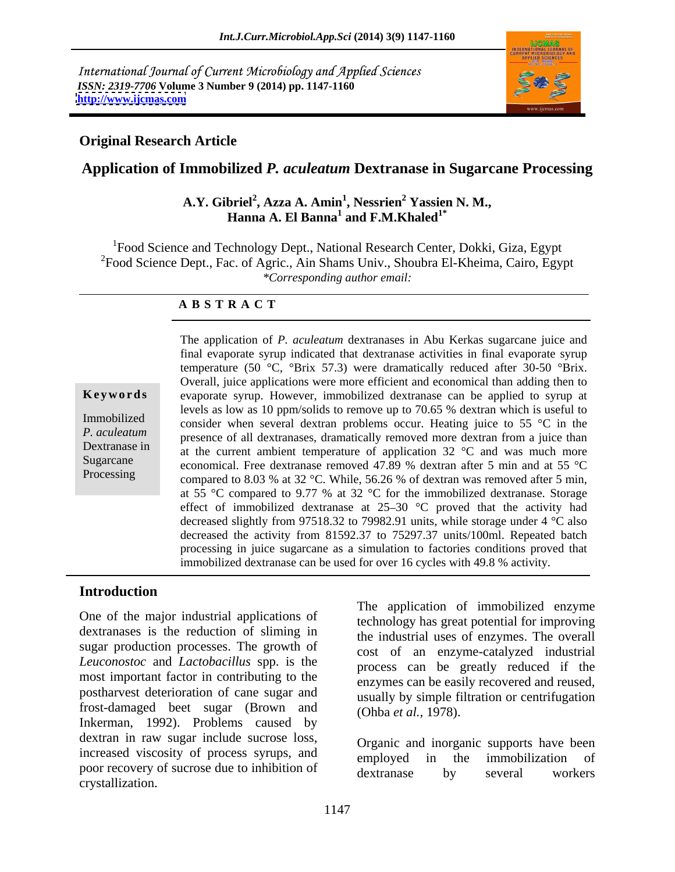International Journal of Current Microbiology and Applied Sciences *ISSN: 2319-7706* **Volume 3 Number 9 (2014) pp. 1147-1160 <http://www.ijcmas.com>**



## **Original Research Article**

## **Application of Immobilized** *P. aculeatum* **Dextranase in Sugarcane Processing**

#### **A.Y. Gibriel<sup>2</sup> , Azza A. Amin<sup>1</sup> , Nessrien<sup>2</sup> Yassien N. M.,** Hanna A. El Banna<sup>1</sup> and F.M.Khaled<sup>1\*</sup>  **and F.M.Khaled1\***

<sup>1</sup>Food Science and Technology Dept., National Research Center, Dokki, Giza, Egypt  $2F$ ood Science Dept., Fac. of Agric., Ain Shams Univ., Shoubra El-Kheima, Cairo, Egypt *\*Corresponding author email:* 

#### **A B S T R A C T**

**Keywords** evaporate syrup. However, immobilized dextranase can be applied to syrup at Immobilized consider when several dextran problems occur. Heating juice to 55 °C in the *P. aculeatum* presence of all dextranases, dramatically removed more dextran from a juice than Dextranase in  $\alpha$  at the current ambient temperature of application 32  $\degree$ C and was much more Sugarcane economical. Free dextranase removed 47.89 % dextran after 5 min and at 55 °C Processing compared to 8.03 % at 32 °C. While, 56.26 % of dextran was removed after 5 min, The application of *P. aculeatum* dextranases in Abu Kerkas sugarcane juice and final evaporate syrup indicated that dextranase activities in final evaporate syrup temperature (50 °C, °Brix 57.3) were dramatically reduced after 30-50 °Brix. Overall, juice applications were more efficient and economical than adding then to levels as low as 10 ppm/solids to remove up to 70.65 % dextran which is useful to at 55 °C compared to 9.77 % at 32 °C for the immobilized dextranase. Storage effect of immobilized dextranase at  $25-30$  °C proved that the activity had decreased slightly from 97518.32 to 79982.91 units, while storage under 4 °C also decreased the activity from 81592.37 to 75297.37 units/100ml. Repeated batch processing in juice sugarcane as a simulation to factories conditions proved that immobilized dextranase can be used for over 16 cycles with 49.8 % activity.

#### **Introduction**

One of the major industrial applications of dextranases is the reduction of sliming in sugar production processes. The growth of *Leuconostoc* and *Lactobacillus* spp. is the most important factor in contributing to the postharvest deterioration of cane sugar and<br>usually by simple filtration or centrifugation frost-damaged beet sugar (Brown and Inkerman, 1992). Problems caused by dextran in raw sugar include sucrose loss, increased viscosity of process syrups, and employed in the immobilization of poor recovery of sucrose due to inhibition of dextranase by several workers crystallization.

The application of immobilized enzyme technology has great potential for improving the industrial uses of enzymes. The overall cost of an enzyme-catalyzed industrial process can be greatly reduced if the enzymes can be easily recovered and reused, (Ohba *et al.,* 1978).

Organic and inorganic supports have been employed in the immobilization of dextranase by several workers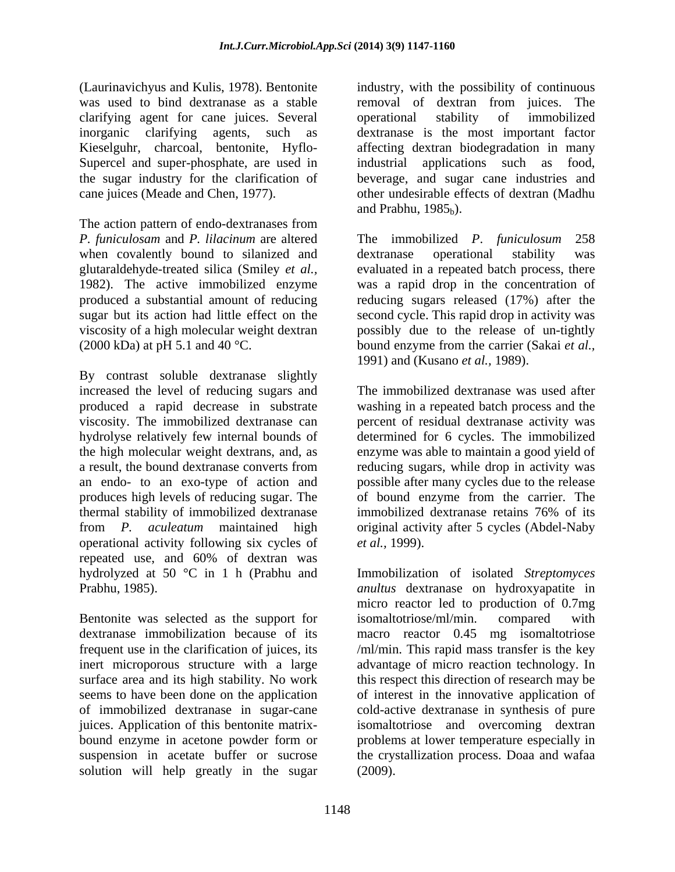(Laurinavichyus and Kulis, 1978). Bentonite industry, with the possibility of continuous was used to bind dextranase as a stable removal of dextran from juices. The clarifying agent for cane juices. Several inorganic clarifying agents, such as dextranase is the most important factor Kieselguhr, charcoal, bentonite, Hyflo- affecting dextran biodegradation in many Supercel and super-phosphate, are used in industrial the sugar industry for the clarification of beverage, and sugar cane industries and

The action pattern of endo-dextranases from *P. funiculosam* and *P. lilacinum* are altered when covalently bound to silanized and dextranase operational stability was glutaraldehyde-treated silica (Smiley *et al.,* evaluated in a repeated batch process, there 1982). The active immobilized enzyme was a rapid drop in the concentration of produced a substantial amount of reducing reducing sugars released (17%) after the sugar but its action had little effect on the second cycle. This rapid drop in activity was viscosity of a high molecular weight dextran possibly due to the release of un-tightly (2000 kDa) at pH 5.1 and 40 °C. bound enzyme from the carrier (Sakai *et al.,*

By contrast soluble dextranase slightly increased the level of reducing sugars and produces high levels of reducing sugar. The thermal stability of immobilized dextranase immobilized dextranase retains 76% of its operational activity following six cycles of *et al.*, 1999). repeated use, and 60% of dextran was hydrolyzed at 50 °C in 1 h (Prabhu and

juices. Application of this bentonite matrix solution will help greatly in the sugar

cane juices (Meade and Chen, 1977). other undesirable effects of dextran (Madhu operational stability of immobilized applications such as food, and Prabhu,  $1985<sub>b</sub>$ ).

> The immobilized *P*. *funiculosum* dextranase operational stability was 1991) and (Kusano *et al.,* 1989).

produced a rapid decrease in substrate washing in a repeated batch process and the viscosity. The immobilized dextranase can percent of residual dextranase activity was hydrolyse relatively few internal bounds of determined for 6 cycles. The immobilized the high molecular weight dextrans, and, as enzyme was able to maintain a good yield of a result, the bound dextranase converts from reducing sugars, while drop in activity was an endo- to an exo-type of action and possible after many cycles due to the release from *P. aculeatum* maintained high original activity after 5 cycles (Abdel-Naby The immobilized dextranase was used after of bound enzyme from the carrier. The immobilized dextranase retains 76% of its *et al.,* 1999).

Prabhu, 1985).<br>
Prabhu, 1985).<br>
Bentonite was selected as the support for isomaltotriose/ml/min. compared with dextranase immobilization because of its macro reactor 0.45 mg isomaltotriose frequent use in the clarification of juices, its /ml/min. This rapid mass transfer is the key inert microporous structure with a large advantage of micro reaction technology. In surface area and its high stability. No work this respect this direction of research may be seems to have been done on the application of interest in the innovative application of of immobilized dextranase in sugar-cane cold-active dextranase in synthesis of pure bound enzyme in acetone powder form or suspension in acetate buffer or sucrose the crystallization process. Doaa and wafaa Immobilization of isolated *Streptomyces anultus* dextranase on hydroxyapatite in micro reactor led to production of 0.7mg isomaltotriose/ml/min. compared with isomaltotriose and overcoming dextran problems at lower temperature especially in (2009).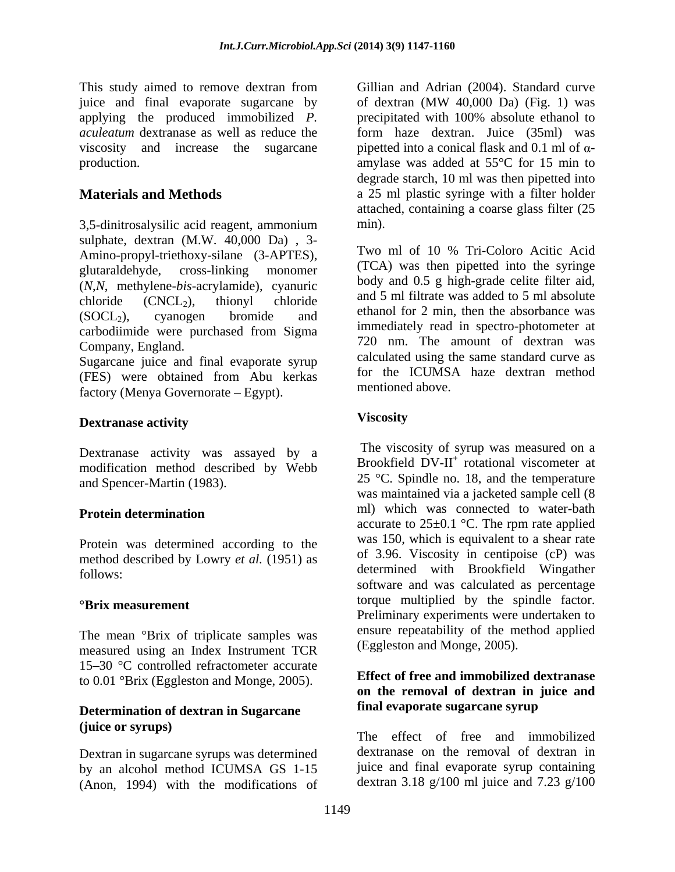This study aimed to remove dextran from juice and final evaporate sugarcane by of dextran (MW 40,000 Da) (Fig. 1) was applying the produced immobilized *P.* 

3,5-dinitrosalysilic acid reagent, ammonium sulphate, dextran  $(M.W. 40,000 \text{ Da})$ , 3-<br>Amine propul trigthew cilene  $(3.49TES)$  Two ml of 10 % Tri-Coloro Acitic Acid Amino-propyl-triethoxy-silane (3-APTES), glutaraldehyde, cross-linking monomer (ICA) was then pipetted into the syringe (*N*,*N*, methylene-*bis*-acrylamide), cyanuric chloride  $(CNCL_2)$ , thionyl chloride and  $\overline{z}$  in intrate was added to  $\overline{z}$  in absolute  $(SOCL<sub>2</sub>)$ , cyanogen bromide and ethanol for  $\angle$  min, then the absorbance was carbodiimide were purchased from Sigma Company, England. 720 nm. The amount of dextran was

Sugarcane juice and final evaporate syrup (FES) were obtained from Abu kerkas factory (Menya Governorate – Egypt).

## **Dextranase activity**

Dextranase activity was assayed by a modification method described by Webb and Spencer-Martin (1983).

Protein was determined according to the method described by Lowry *et al.* (1951) as

The mean °Brix of triplicate samples was measured using an Index Instrument TCR 15-30 °C controlled refractometer accurate to 0.01 °Brix (Eggleston and Monge, 2005).

#### **Determination of dextran in Sugarcane (juice or syrups)**

Dextran in sugarcane syrups was determined by an alcohol method ICUMSA GS 1-15 (Anon, 1994) with the modifications of

*aculeatum* dextranase as well as reduce the form haze dextran. Juice (35ml) was viscosity and increase the sugarcane pipetted into a conical flask and  $0.1$  ml of  $\alpha$ production. amylase was added at 55°C for 15 min to **Materials and Methods a** 25 ml plastic syringe with a filter holder Gillian and Adrian (2004). Standard curve of dextran (MW 40,000 Da) (Fig. 1) was precipitated with 100% absolute ethanol to degrade starch, 10 ml was then pipetted into attached, containing a coarse glass filter (25 min).

> Two ml of 10 % Tri-Coloro Acitic Acid (TCA) was then pipetted into the syringe body and 0.5 g high-grade celite filter aid, and 5 ml filtrate was added to 5 ml absolute ethanol for 2 min, then the absorbance was immediately read in spectro-photometer at calculated using the same standard curve as for the ICUMSA haze dextran method mentioned above.

## **Viscosity**

**Protein determination Example 20 IDE IDE IDE WEIGHT WAS CONNECTED IDE WATE-DAIN** follows: determined with Brookfield Wingather **°Brix measurement** torque multiplied by the spindle factor. The viscosity of syrup was measured on a Brookfield  $\overline{D}V$ -II<sup>+</sup> rotational viscometer at 25 °C. Spindle no. 18, and the temperature was maintained via a jacketed sample cell (8 ml) which was connected to water-bath accurate to  $25\pm0.1$  °C. The rpm rate applied was 150, which is equivalent to a shear rate of 3.96. Viscosity in centipoise (cP) was software and was calculated as percentage Preliminary experiments were undertaken to ensure repeatability of the method applied (Eggleston and Monge, 2005).

#### **Effect of free and immobilized dextranase on the removal of dextran in juice and final evaporate sugarcane syrup**

The effect of free and immobilized dextranase on the removal of dextran in juice and final evaporate syrup containing dextran 3.18 g/100 ml juice and 7.23 g/100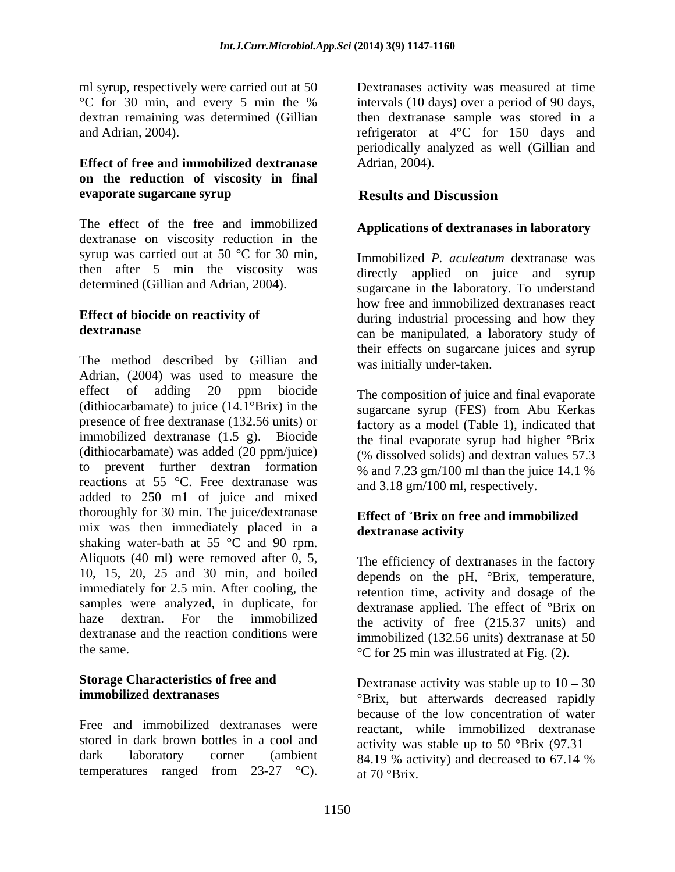ml syrup, respectively were carried out at 50 Dextranases activity was measured at time and Adrian, 2004).

#### **Effect of free and immobilized dextranase on the reduction of viscosity in final evaporate sugarcane syrup**

The effect of the free and immobilized dextranase on viscosity reduction in the syrup was carried out at 50 °C for 30 min, determined (Gillian and Adrian, 2004).

The method described by Gillian and Adrian, (2004) was used to measure the effect of adding 20 ppm biocide The composition of juice and final evaporate (dithiocarbamate) to juice (14.1°Brix) in the presence of free dextranase (132.56 units) or factory as a model (Table 1), indicated that immobilized dextranase (1.5 g). Biocide (dithiocarbamate) was added (20 ppm/juice) to prevent further dextran formation reactions at 55 °C. Free dextranase was added to 250 m1 of juice and mixed thoroughly for 30 min. The juice/dextranase mix was then immediately placed in a **dextranase activity** shaking water-bath at 55 °C and 90 rpm. Aliquots (40 ml) were removed after 0, 5, 10, 15, 20, 25 and 30 min, and boiled immediately for 2.5 min. After cooling, the samples were analyzed, in duplicate, for haze dextran. For the immobilized the activity of free (215.37 units) and dextranase and the reaction conditions were immobilized (132.56 units) dextranase at 50 nd sympatosially was content at simpatosial at time<br>and sympatosial at times activity was measured in the same of the base of the state<br>and Attina, 2004).<br>
Sympatosial and Attina, 2004) are determined colline to the deter

stored in dark brown bottles in a cool and dark laboratory corner (ambient 84.19 % activity) and decreased to 67.14 %

°C for 30 min, and every 5 min the % intervals (10 days) over a period of 90 days, dextran remaining was determined (Gillian then dextranase sample was stored in a refrigerator at 4°C for 150 days and periodically analyzed as well (Gillian and Adrian, 2004).

## **Results and Discussion**

## **Applications of dextranases in laboratory**

then after 5 min the viscosity was directly applied on juice and syrup **Effect of biocide on reactivity of** during industrial processing and how they **dextranase** can be manipulated, a laboratory study of Immobilized *P. aculeatum* dextranase was sugarcane in the laboratory. To understand how free and immobilized dextranases react their effects on sugarcane juices and syrup was initially under-taken.

> The composition of juice and final evaporate sugarcane syrup (FES) from Abu Kerkas the final evaporate syrup had higher °Brix (% dissolved solids) and dextran values 57.3 % and 7.23 gm/100 ml than the juice 14.1 % and 3.18 gm/100 ml, respectively.

## **Effect of Brix on free and immobilized dextranase activity**

the same.  $\degree$ C for 25 min was illustrated at Fig. (2). The efficiency of dextranases in the factory depends on the pH, °Brix, temperature, retention time, activity and dosage of the dextranase applied. The effect of °Brix on

**Storage Characteristics of free and** Dextranase activity was stable up to  $10 - 30$ **immobilized dextranases** °Brix, but afterwards decreased rapidly Free and immobilized dextranases were reactant, while immobilized dextranase because of the low concentration of water activity was stable up to 50 °Brix  $(97.31 -$ 84.19 % activity) and decreased to 67.14 % at 70 °Brix.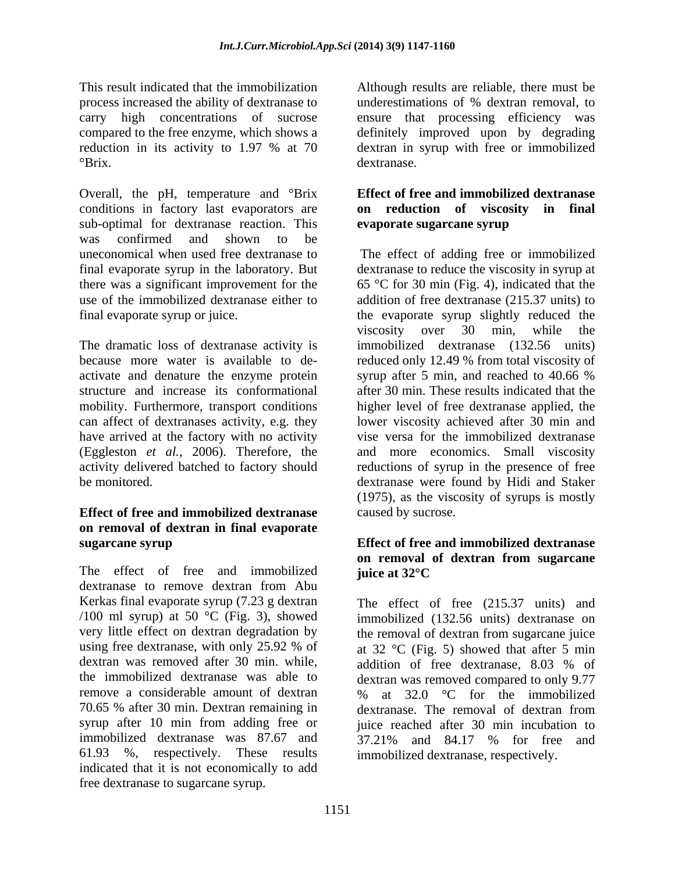process increased the ability of dextranase to

Overall, the pH, temperature and °Brix conditions in factory last evaporators are sub-optimal for dextranase reaction. This **evaporate sugarcane syrup** was confirmed and shown to be uneconomical when used free dextranase to The effect of adding free or immobilized final evaporate syrup in the laboratory. But dextranase to reduce the viscosity in syrup at there was a significant improvement for the  $\qquad 65 \text{ °C}$  for 30 min (Fig. 4), indicated that the use of the immobilized dextranase either to addition of free dextranase (215.37 units) to final evaporate syrup or juice. the evaporate syrup slightly reduced the

have arrived at the factory with no activity (Eggleston *et al.,* 2006). Therefore, the

## **Effect of free and immobilized dextranase on removal of dextran in final evaporate sugarcane syrup Effect of free and immobilized dextranase**

The effect of free and immobilized **juice at 32 °C** dextranase to remove dextran from Abu Kerkas final evaporate syrup (7.23 g dextran The effect of free (215.37 units) and /100 ml syrup) at 50 °C (Fig. 3), showed dextran was removed after 30 min. while, addition of free dextranase, 8.03 % of remove a considerable amount of dextran  $\%$  at 32.0 °C for the immobilized 70.65 % after 30 min. Dextran remaining in immobilized dextranase was 87.67 and  $37.21\%$  and 84.17 % for free and 61.93 %, respectively. These results indicated that it is not economically to add free dextranase to sugarcane syrup.

This result indicated that the immobilization Although results are reliable, there must be carry high concentrations of sucrose ensure that processing efficiency was compared to the free enzyme, which shows a definitely improved upon by degrading reduction in its activity to 1.97 % at 70 dextran in syrup with free or immobilized <sup>o</sup>Brix. dextranase. underestimations of % dextran removal, to dextran in syrup with free or immobilized dextranase.

#### **Effect of free and immobilized dextranase on reduction of viscosity in final evaporate sugarcane syrup**

The dramatic loss of dextranase activity is immobilized dextranase (132.56 units) because more water is available to de- reduced only 12.49 % from total viscosity of activate and denature the enzyme protein syrup after 5 min, and reached to 40.66 % structure and increase its conformational after 30 min. These results indicated that the mobility. Furthermore, transport conditions higher level of free dextranase applied, the can affect of dextranases activity, e.g. they lower viscosity achieved after 30 min and activity delivered batched to factory should reductions of syrup in the presence of free be monitored. dextranase were found by Hidi and Staker viscosity over 30 min, while the vise versa for the immobilized dextranase and more economics. Small viscosity (1975), as the viscosity of syrups is mostly caused by sucrose.

# **on removal of dextran from sugarcane juice at 32°C**

very little effect on dextran degradation by the removal of dextran from sugarcane juice using free dextranase, with only 25.92 % of at 32  $^{\circ}$ C (Fig. 5) showed that after 5 min the immobilized dextranase was able to dextran was removed compared to only 9.77 syrup after 10 min from adding free or juice reached after 30 min incubation to immobilized (132.56 units) dextranase on addition of free dextranase, 8.03 % of % at 32.0 °C for the immobilized dextranase. The removal of dextran from 37.21% and 84.17 % for free and immobilized dextranase, respectively.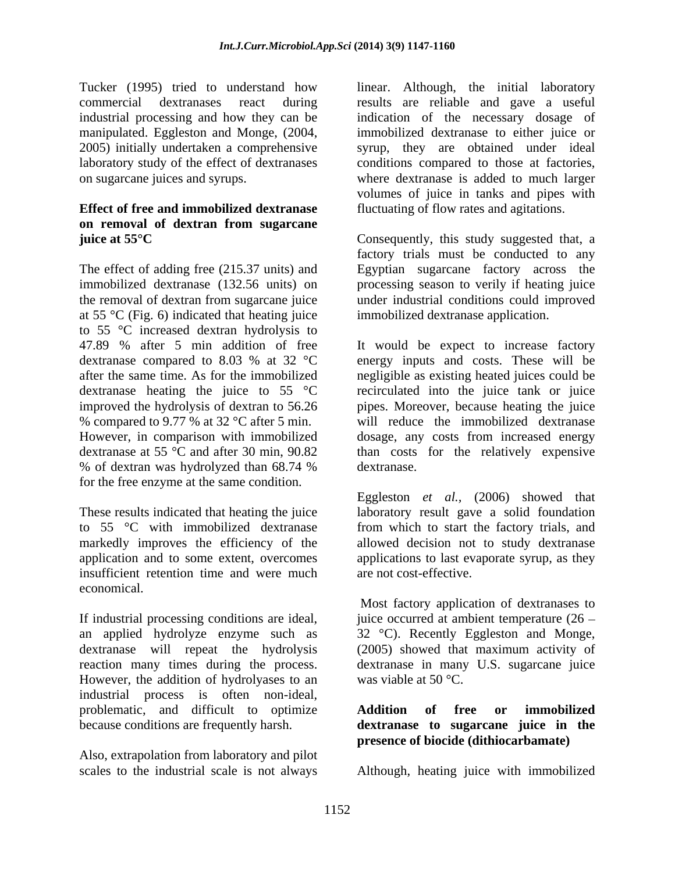## **Effect of free and immobilized dextranase** fluctuating of flow rates and agitations. **on removal of dextran from sugarcane**

The effect of adding free (215.37 units) and Egyptian sugarcane factory across the immobilized dextranase (132.56 units) on processing season to verily if heating juice the removal of dextran from sugarcane juice under industrial conditions could improved at 55  $\mathrm{C}$  (Fig. 6) indicated that heating juice to 55  $\degree$ C increased dextran hydrolysis to 47.89 % after 5 min addition of free % compared to 9.77 % at 32 °C after 5 min. for the free enzyme at the same condition.

insufficient retention time and were much economical.

If industrial processing conditions are ideal, an applied hydrolyze enzyme such as However, the addition of hydrolyases to an industrial process is often non-ideal, problematic, and difficult to optimize **Addition of free or immobilized** because conditions are frequently harsh. **dextranase to sugarcane juice in the**

Also, extrapolation from laboratory and pilot scales to the industrial scale is not always Although, heating juice with immobilized

Tucker (1995) tried to understand how linear. Although, the initial laboratory commercial dextranases react during results are reliable and gave a useful industrial processing and how they can be indication of the necessary dosage of manipulated. Eggleston and Monge, (2004, immobilized dextranase to either juice or 2005) initially undertaken a comprehensive syrup, they are obtained under ideal laboratory study of the effect of dextranases conditions compared to those at factories, on sugarcane juices and syrups. where dextranase is added to much larger volumes of juice in tanks and pipes with

**juice at 55°C** Consequently, this study suggested that, a factory trials must be conducted to any immobilized dextranase application.

47.89 % after 5 min addition of free It would be expect to increase factory dextranase compared to 8.03 % at 32  $^{\circ}$ C energy inputs and costs. These will be after the same time. As for the immobilized negligible as existing heated juices could be dextranase heating the juice to  $55\degree C$  recirculated into the juice tank or juice improved the hydrolysis of dextran to 56.26 pipes. Moreover, because heating the juice However, in comparison with immobilized dosage, any costs from increased energy dextranase at 55 °C and after 30 min, 90.82 than costs for the relatively expensive % of dextran was hydrolyzed than 68.74 % will reduce the immobilized dextranase dextranase.

These results indicated that heating the juice laboratory result gave a solid foundation to 55 °C with immobilized dextranase from which to start the factory trials, and markedly improves the efficiency of the allowed decision not to study dextranase application and to some extent, overcomes applications to last evaporate syrup, as they Eggleston *et al.,* (2006) showed that are not cost-effective.

dextranase will repeat the hydrolysis (2005) showed that maximum activity of reaction many times during the process. dextranase in many U.S. sugarcane juice Most factory application of dextranases to juice occurred at ambient temperature  $(26 -$ 32 °C). Recently Eggleston and Monge, was viable at 50 °C.

# **Addition of free or immobilized presence of biocide (dithiocarbamate)**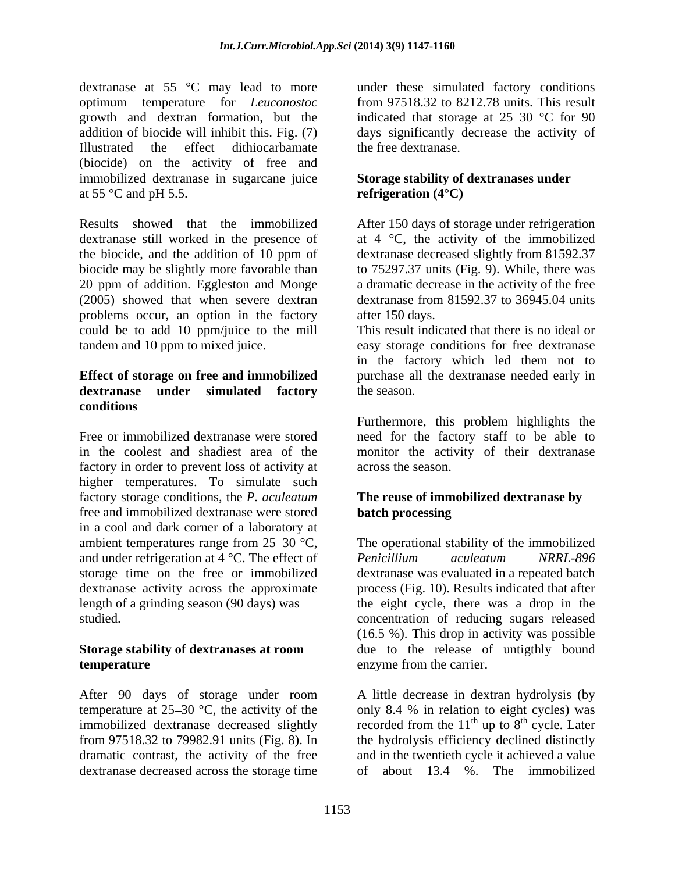dextranase at 55 °C may lead to more optimum temperature for *Leuconostoc* from 97518.32 to 8212.78 units. This result growth and dextran formation, but the indicated that storage at  $25{\text -}30$  °C for 90 addition of biocide will inhibit this. Fig. (7) days significantly decrease the activity of Illustrated the effect dithiocarbamate the free dextranase. (biocide) on the activity of free and immobilized dextranase in sugarcane juice at 55 $\degree$ C and pH 5.5.

Results showed that the immobilized After 150 days of storage under refrigeration dextranase still worked in the presence of  $\qquad$  at 4  $\degree$ C, the activity of the immobilized the biocide, and the addition of 10 ppm of dextranase decreased slightly from 81592.37 biocide may be slightly more favorable than to 75297.37 units (Fig. 9). While, there was 20 ppm of addition. Eggleston and Monge a dramatic decrease in the activity of the free (2005) showed that when severe dextran dextranase from 81592.37 to 36945.04 units problems occur, an option in the factory could be to add 10 ppm/juice to the mill tandem and 10 ppm to mixed juice. easy storage conditions for free dextranase

# **conditions**

Free or immobilized dextranase were stored need for the factory staff to be able to in the coolest and shadiest area of the monitor the activity of their dextranase factory in order to prevent loss of activity at higher temperatures. To simulate such factory storage conditions, the*P. aculeatum* free and immobilized dextranase were stored in a cool and dark corner of a laboratory at and under refrigeration at 4 °C. The effect of Penicillium aculeatum NRRL-896

After 90 days of storage under room temperature at  $25-30$  °C, the activity of the only 8.4 % in relation to eight cycles) was immobilized dextranase decreased slightly recorded from the  $11<sup>th</sup>$  up to  $8<sup>th</sup>$  cycle. Later from 97518.32 to 79982.91 units (Fig. 8). In the hydrolysis efficiency declined distinctly dramatic contrast, the activity of the free dextranase decreased across the storage time

under these simulated factory conditions the free dextranase.

## **Storage stability of dextranases under refrigeration (4°C)**

after 150 days.

**Effect of storage on free and immobilized** purchase all the dextranase needed early in **dextranase under simulated factory** This result indicated that there is no ideal or in the factory which led them not to the season.

> Furthermore, this problem highlights the across the season.

## **The reuse of immobilized dextranase by batch processing**

ambient temperatures range from  $25{\text -}30$  °C, The operational stability of the immobilized storage time on the free or immobilized dextranase was evaluated in a repeated batch dextranase activity across the approximate process (Fig. 10). Results indicated that after length of a grinding season (90 days) was the eight cycle, there was a drop in the studied. concentration of reducing sugars released **Storage stability of dextranases at room**  due to the release of untigthly bound **temperature** enzyme from the carrier. *Penicillium aculeatum NRRL-896* (16.5 %). This drop in activity was possible

> A little decrease in dextran hydrolysis(by up to  $8<sup>th</sup>$  cycle. Later  $\frac{\text{th}}{\text{a}}$  and  $\frac{\text{t}}{\text{b}}$  at  $\frac{\text{t}}{\text{c}}$ cycle. Later and in the twentieth cycle it achieved a value about  $13.4 \%$ . The immobilized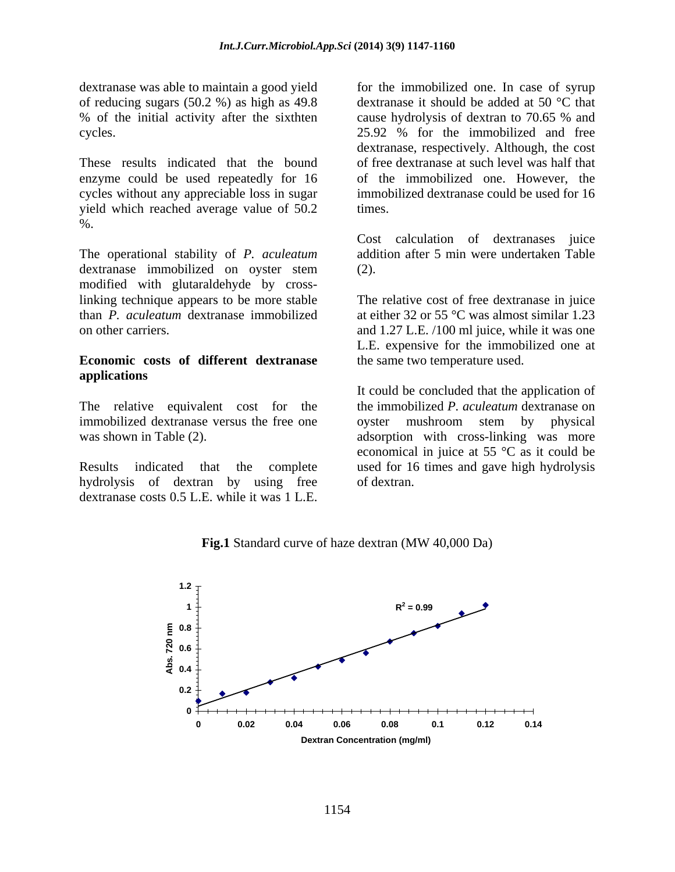of reducing sugars (50.2 %) as high as 49.8 % of the initial activity after the sixthten cause hydrolysis of dextran to 70.65 % and

enzyme could be used repeatedly for 16 yield which reached average value of 50.2 times. %.

The operational stability of *P. aculeatum* dextranase immobilized on oyster stem modified with glutaraldehyde by crosslinking technique appears to be more stable than *P. aculeatum* dextranase immobilized at either 32 or 55 °C was almost similar 1.23

#### **Economic costs of different dextranase applications**

immobilized dextranase versus the free one over mushroom stem by physical

hydrolysis of dextran by using free of dextran. dextranase costs 0.5 L.E. while it was 1 L.E.

dextranase was able to maintain a good yield for the immobilized one. In case of syrup cycles. 25.92 % for the immobilized and free These results indicated that the bound of free dextranase at such level was half that cycles without any appreciable loss in sugar immobilized dextranase could be used for 16 dextranase it should be added at 50 °C that cause hydrolysis of dextran to 70.65 % and dextranase, respectively. Although, the cost of the immobilized one. However, the times.

> Cost calculation of dextranases juice addition after 5 min were undertaken Table (2).

on other carriers. and 1.27 L.E. /100 ml juice, while it was one The relative cost of free dextranase in juice L.E. expensive for the immobilized one at the same two temperature used.

The relative equivalent cost for the the immobilized *P. aculeatum* dextranase on was shown in Table (2). adsorption with cross-linking was more Results indicated that the complete used for 16 times and gave high hydrolysis It could be concluded that the application of oyster mushroom stem by physical economical in juice at 55 °C as it could be of dextran.



**Fig.1** Standard curve of haze dextran (MW 40,000 Da)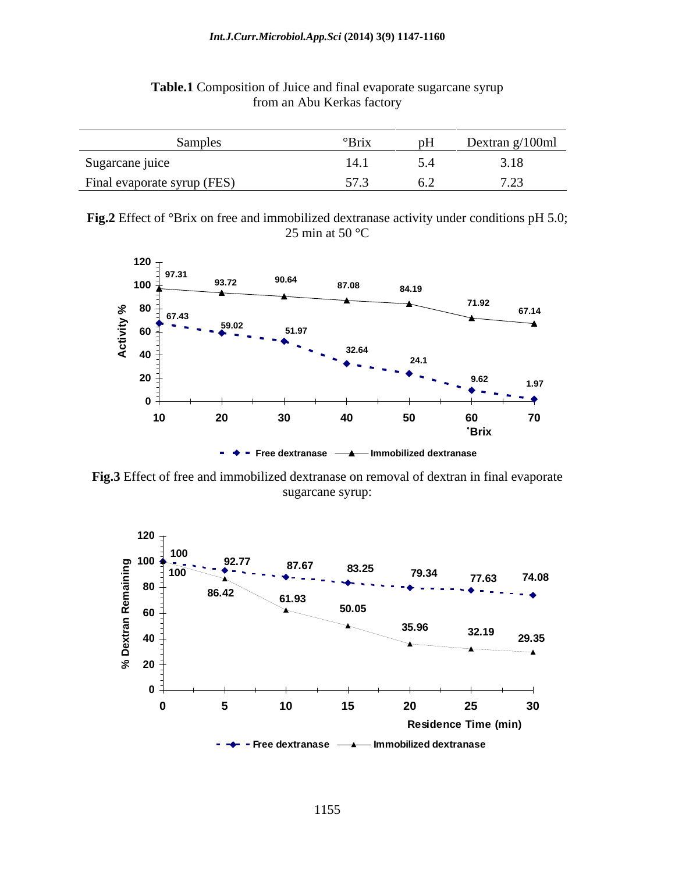| Danipics                    | DH.<br>`BIIX | Dextran g/100ml |
|-----------------------------|--------------|-----------------|
| Sugarcane juice             |              | $\cdots$        |
| Final evaporate syrup (FES) |              |                 |

#### **Table.1** Composition of Juice and final evaporate sugarcane syrup from an Abu Kerkas factory

**Fig.2** Effect of °Brix on free and immobilized dextranase activity under conditions pH 5.0;  $25 \text{ min at } 50 \text{ °C}$ 



**Fig.3** Effect of free and immobilized dextranase on removal of dextran in final evaporate sugarcane syrup:

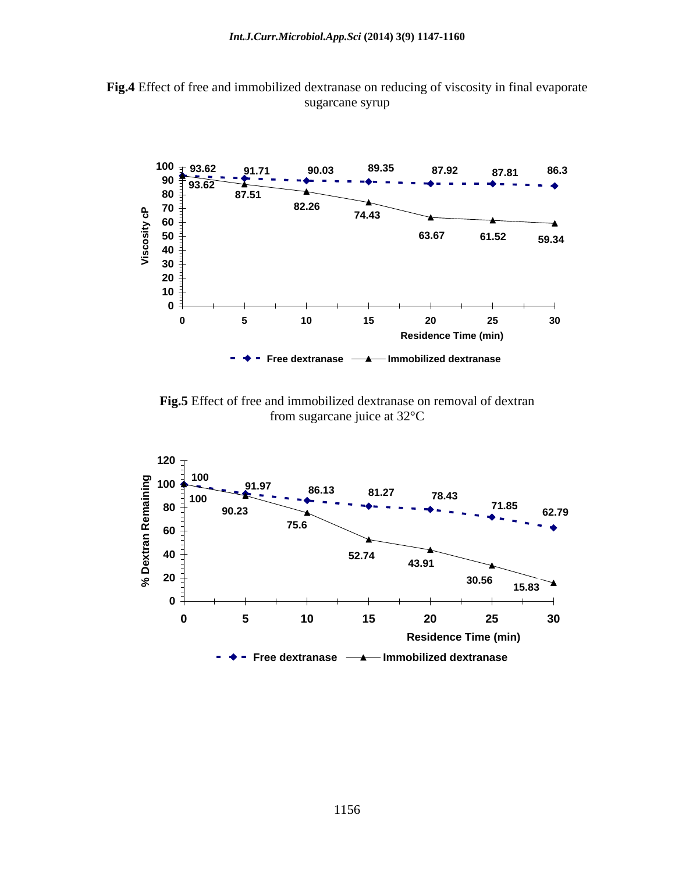



**Fig.5** Effect of free and immobilized dextranase on removal of dextran from sugarcane juice at 32°C from sugarcane juice at 32°C

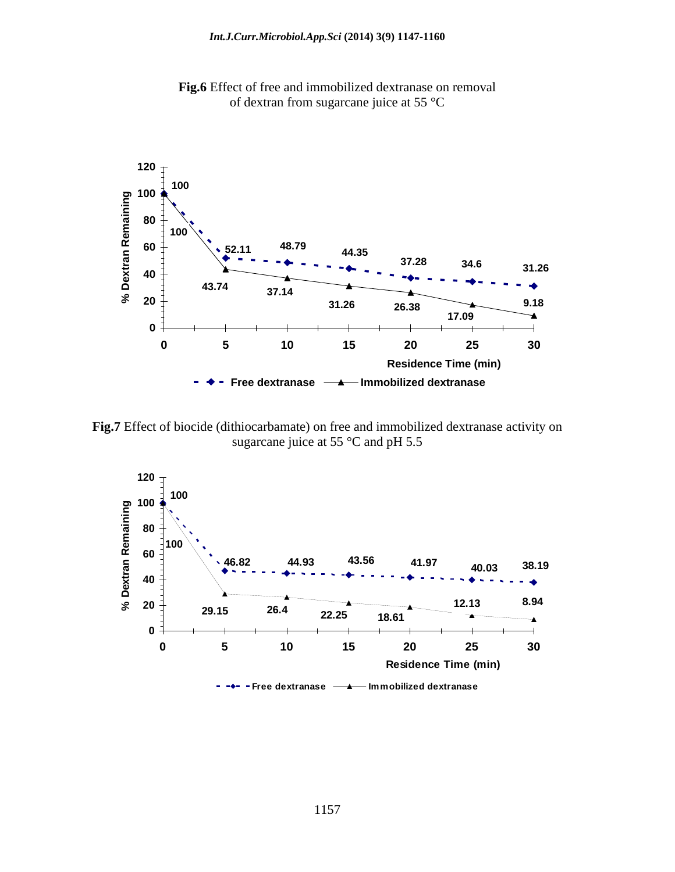

**Fig.6** Effect of free and immobilized dextranase on removal of dextran from sugarcane juice at 55 °C

**Fig.7** Effect of biocide (dithiocarbamate) on free and immobilized dextranase activity on sugarcane juice at 55 °C and pH 5.5

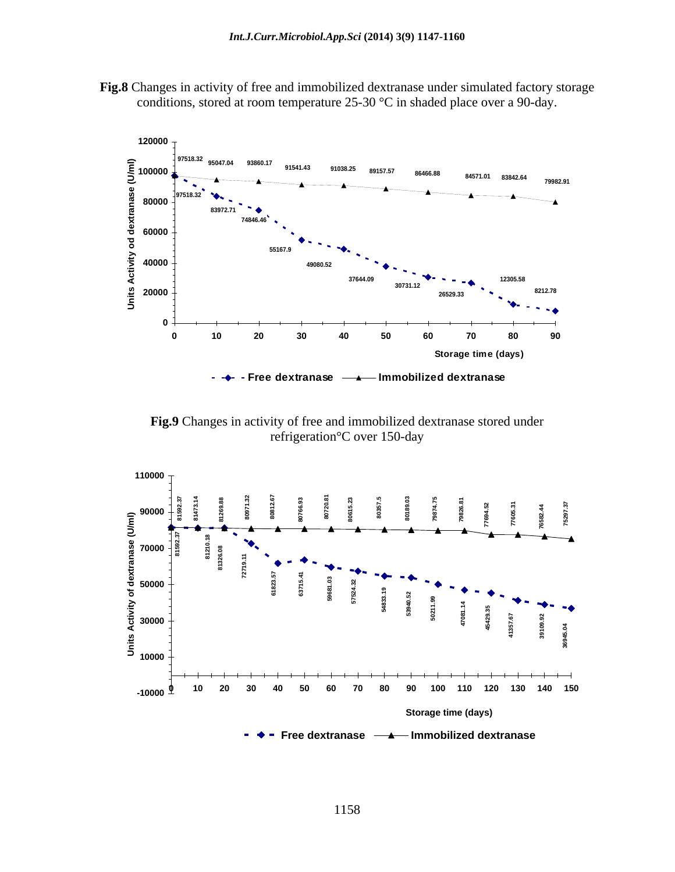



**Fig.9** Changes in activity of free and immobilized dextranase stored under refrigeration°C over 150-day

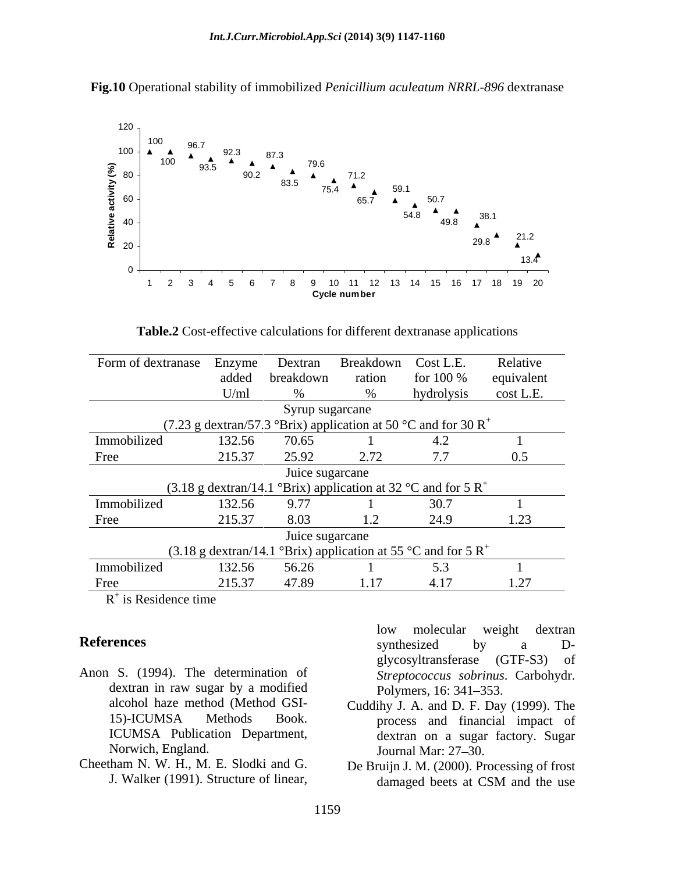

**Fig.10** Operational stability of immobilized *Penicillium aculeatum NRRL-896* dextranase

**Table.2** Cost-effective calculations for different dextranase applications

|             | Form of dextranase Enzyme                                            | Dextran         | Breakdown       | Cost L.E.  | Relative   |
|-------------|----------------------------------------------------------------------|-----------------|-----------------|------------|------------|
|             |                                                                      | added breakdown | ration          | for 100 %  | equivalent |
|             | U/ml                                                                 |                 |                 | hydrolysis | cost L.E.  |
|             |                                                                      |                 | Syrup sugarcane |            |            |
|             | (7.23 g dextran/57.3 °Brix) application at 50 °C and for 30 $R^+$    |                 |                 |            |            |
| Immobilized | 132.56                                                               | 70.65           |                 |            |            |
| Free        | 215.37                                                               | 25.92           | 2.72            |            | 0.5        |
|             |                                                                      | Juice sugarcane |                 |            |            |
|             | (3.18 g dextran/14.1 °Brix) application at 32 °C and for 5 $R^+$     |                 |                 |            |            |
| Immobilized | 132.56                                                               | 9.77            |                 |            |            |
| Free        | 215.37                                                               | 8.03            |                 | 24.9       |            |
|             |                                                                      |                 | Juice sugarcane |            |            |
|             | (3.18 g dextran/14.1 °Brix) application at 55 °C and for 5 $\rm R^+$ |                 |                 |            |            |
| Immobilized | 132.56                                                               | 56.26           |                 |            |            |
| Free        | 215.37                                                               | 47.89           | 1.17            | 4. F       |            |

 $R^+$  is Residence time is Residence time

- Anon S. (1994). The determination of dextran in raw sugar by a modified Polymers, 16: 341-353. ICUMSA Publication Department, Norwich, England. Journal Mar: 27–30. Frances<br>
S. (1994). The determination of glycosyltransferase (GTF-S3) of<br>
dextran in raw sugar by a modified<br>
dextran in raw sugar by a modified<br>
15)-ICUMSA Method GSI-<br>
15)-ICUMSA Methods Book. Touddihy J. A. and D. F. Da
- Cheetham N. W. H., M. E. Slodki and G. De Bruijn J. M. (2000). Processing of frost

**References** synthesized by a Dsynthesized by a D glycosyltransferase (GTF-S3) of *Streptococcus sobrinus*. Carbohydr. Polymers, 16: 341–353.

- alcohol haze method (Method GSI- Cuddihy J. A. and D. F. Day (1999). The 15)-ICUMSA Methods Book. process and financial impact of dextran on a sugar factory. Sugar Journal Mar:  $27-30$ .
	- damaged beets at CSM and the use